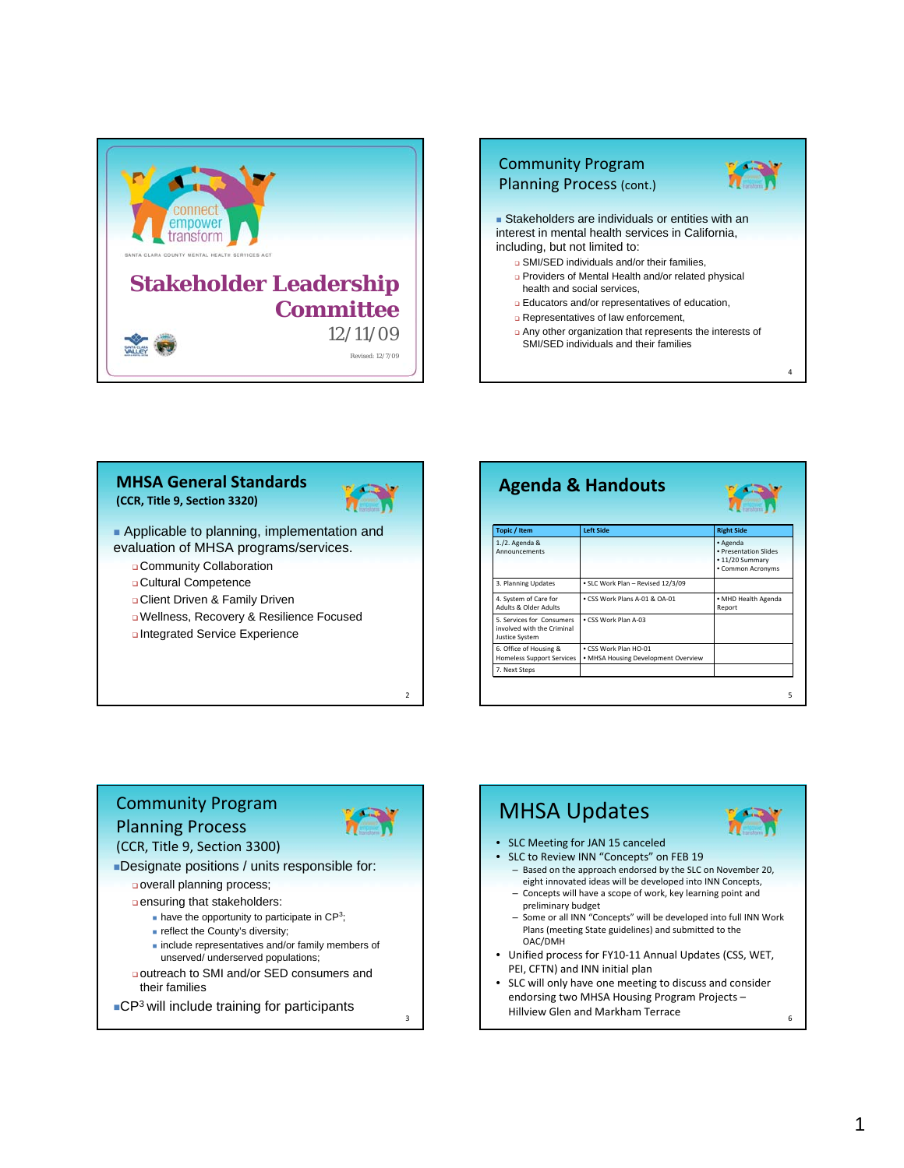



#### **MHSA General Standards (CCR, Title 9, Section 3320)**



**Applicable to planning, implementation and** evaluation of MHSA programs/services.

- Community Collaboration
- Cultural Competence
- Client Driven & Family Driven
- Wellness, Recovery & Resilience Focused

Integrated Service Experience

| <b>Agenda &amp; Handouts</b>                                              |                                                              |                                                                           |
|---------------------------------------------------------------------------|--------------------------------------------------------------|---------------------------------------------------------------------------|
| <b>Topic / Item</b>                                                       | <b>Left Side</b>                                             | <b>Right Side</b>                                                         |
| 1./2. Agenda &<br>Announcements                                           |                                                              | · Agenda<br>· Presentation Slides<br>· 11/20 Summary<br>· Common Acronyms |
| 3. Planning Updates                                                       | · SLC Work Plan - Revised 12/3/09                            |                                                                           |
| 4. System of Care for<br>Adults & Older Adults                            | . CSS Work Plans A-01 & OA-01                                | · MHD Health Agenda<br>Report                                             |
| 5. Services for Consumers<br>involved with the Criminal<br>Justice System | . CSS Work Plan A-03                                         |                                                                           |
| 6. Office of Housing &<br><b>Homeless Support Services</b>                | . CSS Work Plan HO-01<br>• MHSA Housing Development Overview |                                                                           |
| 7. Next Steps                                                             |                                                              |                                                                           |

# Community Program Planning Process



 $\overline{2}$ 

3

Designate positions / units responsible for: (CCR, Title 9, Section 3300)

overall planning process;

ensuring that stakeholders:

 $\blacksquare$  have the opportunity to participate in CP<sup>3</sup>;

- **reflect the County's diversity;**
- $\blacksquare$  include representatives and/or family members of unserved/ underserved populations;
- outreach to SMI and/or SED consumers and their families
- ■CP<sup>3</sup> will include training for participants

# MHSA Updates

- SLC Meeting for JAN 15 canceled
- SLC to Review INN "Concepts" on FEB 19
	- Based on the approach endorsed by the SLC on November 20, eight innovated ideas will be developed into INN Concepts, – Concepts will have a scope of work, key learning point and
	- preliminary budget – Some or all INN "Concepts" will be developed into full INN Work
	- Plans (meeting State guidelines) and submitted to the OAC/DMH
- Unified process for FY10‐11 Annual Updates (CSS, WET, PEI, CFTN) and INN initial plan
- SLC will only have one meeting to discuss and consider endorsing two MHSA Housing Program Projects – Hillview Glen and Markham Terrace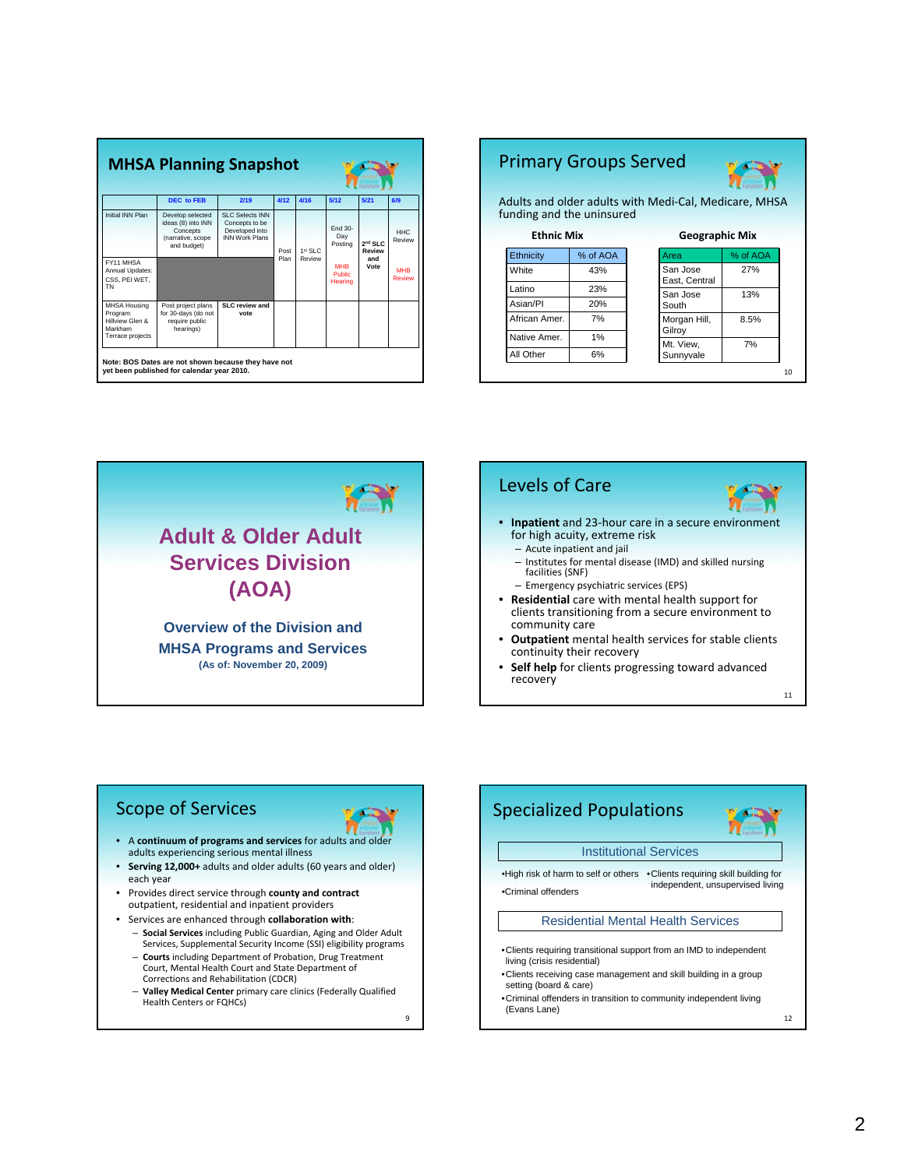| <b>MHSA Planning Snapshot</b>                                                     |                                                                                        |                                                                              |                |            |                                        |                                      |                             |
|-----------------------------------------------------------------------------------|----------------------------------------------------------------------------------------|------------------------------------------------------------------------------|----------------|------------|----------------------------------------|--------------------------------------|-----------------------------|
|                                                                                   | DEC to FEB                                                                             | 2/19                                                                         | 4/12           | 4/16       | 5/12                                   | 5/21                                 | 6/9                         |
| <b>Initial INN Plan</b>                                                           | Develop selected<br>ideas (8) into INN<br>Concepts<br>(narrative, scope<br>and budget) | SLC Selects INN<br>Concepts to be<br>Developed into<br><b>INN Work Plans</b> | Post           | $1st$ SI C | Fnd 30-<br>Day<br>Posting              | 2 <sup>nd</sup> SLC<br><b>Review</b> | HHC<br>Review               |
| FY11 MHSA<br>Annual Updates:<br>CSS. PEI WET.<br>TN                               |                                                                                        |                                                                              | Plan<br>Review |            | <b>MHR</b><br><b>Public</b><br>Hearing | and<br>Vote                          | <b>MHB</b><br><b>Review</b> |
| <b>MHSA Housing</b><br>Program:<br>Hillview Glen &<br>Markham<br>Terrace projects | Post project plans<br>for 30-days (do not<br>require public<br>hearings)               | SLC review and<br>vote                                                       |                |            |                                        |                                      |                             |

# Primary Groups Served



11

Adults and older adults with Medi‐Cal, Medicare, MHSA funding and the uninsured

| <b>Geographic Mix</b>     |          |
|---------------------------|----------|
| Area                      | % of AOA |
| San Jose<br>East, Central | 27%      |
| San Jose                  | 13%      |
| South                     |          |
| Morgan Hill,<br>Gilroy    | 8.5%     |
| Mt. View.                 | 7%       |
| Sunnyvale                 |          |
|                           |          |





# Scope of Services

- A **continuum of programs and services** for adults and older adults experiencing serious mental illness
- **Serving 12,000+** adults and older adults (60 years and older) each year
- Provides direct service through **county and contract** outpatient, residential and inpatient providers
- Services are enhanced through **collaboration with**:
	- **Social Services** including Public Guardian, Aging and Older Adult Services, Supplemental Security Income (SSI) eligibility programs – **Courts** including Department of Probation, Drug Treatment
	- Court, Mental Health Court and State Department of Corrections and Rehabilitation (CDCR)
	- **Valley Medical Center** primary care clinics (Federally Qualified Health Centers or FQHCs)

 $\alpha$ 

12 Specialized Populations Institutional Services Residential Mental Health Services •High risk of harm to self or others •Clients requiring skill building for •Criminal offenders independent, unsupervised living •Clients requiring transitional support from an IMD to independent living (crisis residential) •Clients receiving case management and skill building in a group setting (board & care) •Criminal offenders in transition to community independent living (Evans Lane)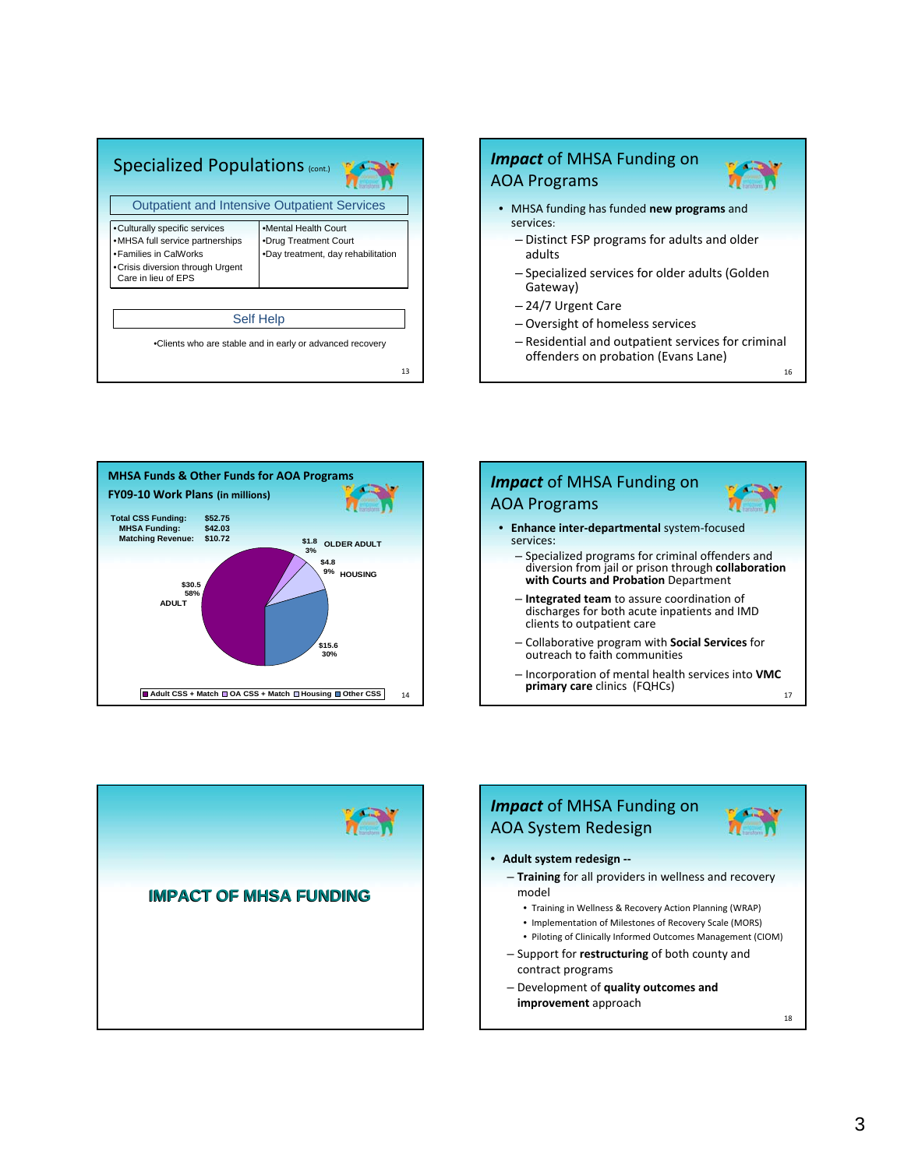| <b>Specialized Populations (cont.)</b>                                                                                                                 |                                                                                     |  |  |  |  |
|--------------------------------------------------------------------------------------------------------------------------------------------------------|-------------------------------------------------------------------------------------|--|--|--|--|
|                                                                                                                                                        | <b>Outpatient and Intensive Outpatient Services</b>                                 |  |  |  |  |
| •Culturally specific services<br>•MHSA full service partnerships<br>• Families in CalWorks<br>• Crisis diversion through Urgent<br>Care in lieu of EPS | .Mental Health Court<br>•Drug Treatment Court<br>.Day treatment, day rehabilitation |  |  |  |  |
|                                                                                                                                                        | <b>Self Help</b>                                                                    |  |  |  |  |
|                                                                                                                                                        | •Clients who are stable and in early or advanced recovery                           |  |  |  |  |
| 13                                                                                                                                                     |                                                                                     |  |  |  |  |



14 **MHSA Funds & Other Funds for AOA Programs FY09‐10 Work Plans (in millions) \$15.6 30% \$4.8 9% HOUSING \$1.8 OLDER ADULT 3% \$30.5 58%** ■ Adult CSS + Match ■ OA CSS + Match ■ Housing ■ Other CSS **ADULT Total CSS Funding: \$52.75 MHSA Funding: \$42.03 Matching Revenue: \$10.72** 





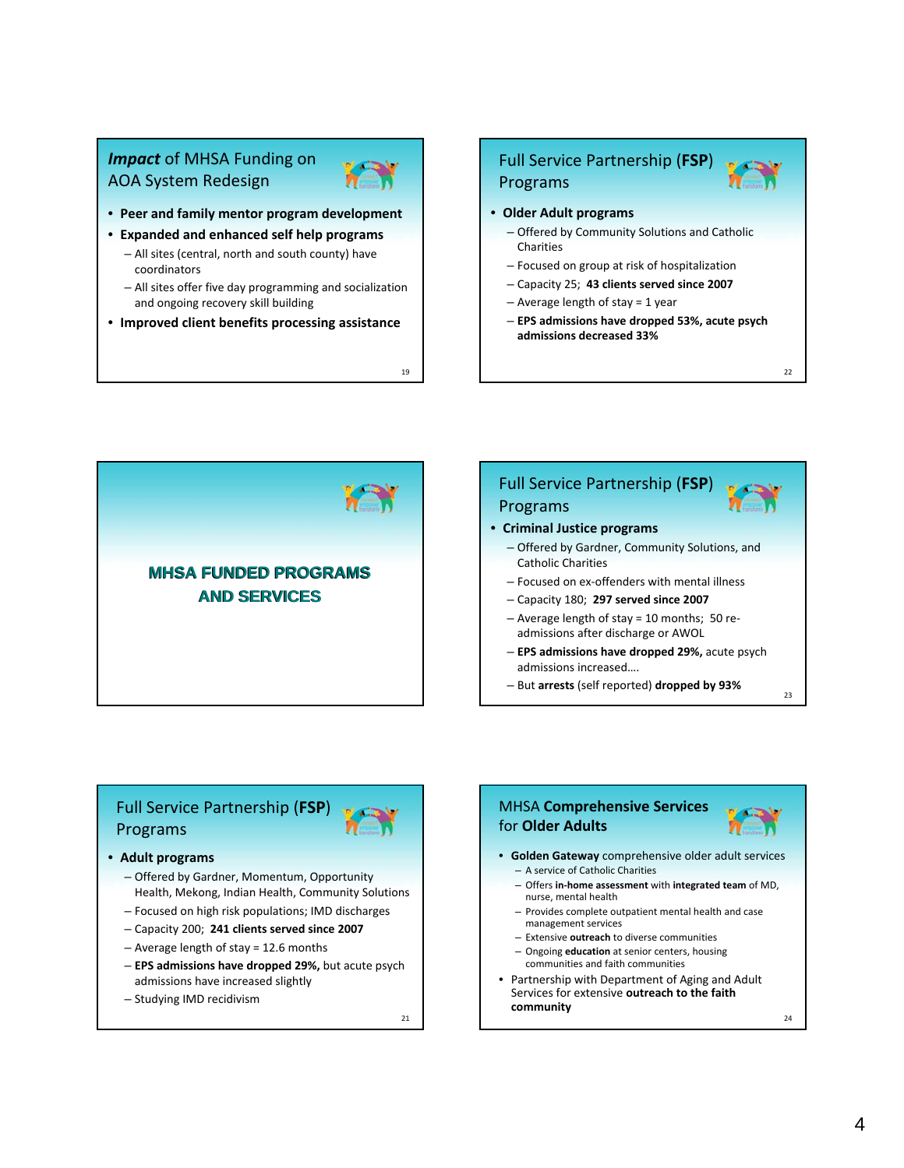# *Impact* of MHSA Funding on AOA System Redesign



- **Expanded and enhanced self help programs**
	- All sites (central, north and south county) have coordinators
	- All sites offer five day programming and socialization and ongoing recovery skill building
- **Improved client benefits processing assistance**

19

# Full Service Partnership (**FSP**) Programs

- **Older Adult programs**
	- Offered by Community Solutions and Catholic Charities
	- Focused on group at risk of hospitalization
	- Capacity 25; **43 clients served since 2007**
	- Average length of stay = 1 year
	- **EPS admissions have dropped 53%, acute psych admissions decreased 33%**



## Full Service Partnership (**FSP**) Programs • **Criminal Justice programs** – Offered by Gardner, Community Solutions, and Catholic Charities – Focused on ex‐offenders with mental illness – Capacity 180; **297 served since 2007** – Average length of stay = 10 months; 50 re‐ admissions after discharge or AWOL – **EPS admissions have dropped 29%,** acute psych admissions increased….

– But **arrests** (self reported) **dropped by 93%**

# $23$

24

22

# Full Service Partnership (**FSP**) Programs

#### • **Adult programs**

- Offered by Gardner, Momentum, Opportunity Health, Mekong, Indian Health, Community Solutions
- Focused on high risk populations; IMD discharges
- Capacity 200; **241 clients served since 2007**
- Average length of stay = 12.6 months
- **EPS admissions have dropped 29%,** but acute psych admissions have increased slightly
- Studying IMD recidivism

21

# MHSA **Comprehensive Services** for **Older Adults**



- **Golden Gateway** comprehensive older adult services – A service of Catholic Charities
	- Offers **in‐home assessment** with **integrated team** of MD, nurse, mental health
	- Provides complete outpatient mental health and case management services
	- Extensive **outreach** to diverse communities
	- Ongoing **education** at senior centers, housing communities and faith communities
- Partnership with Department of Aging and Adult Services for extensive **outreach to the faith community**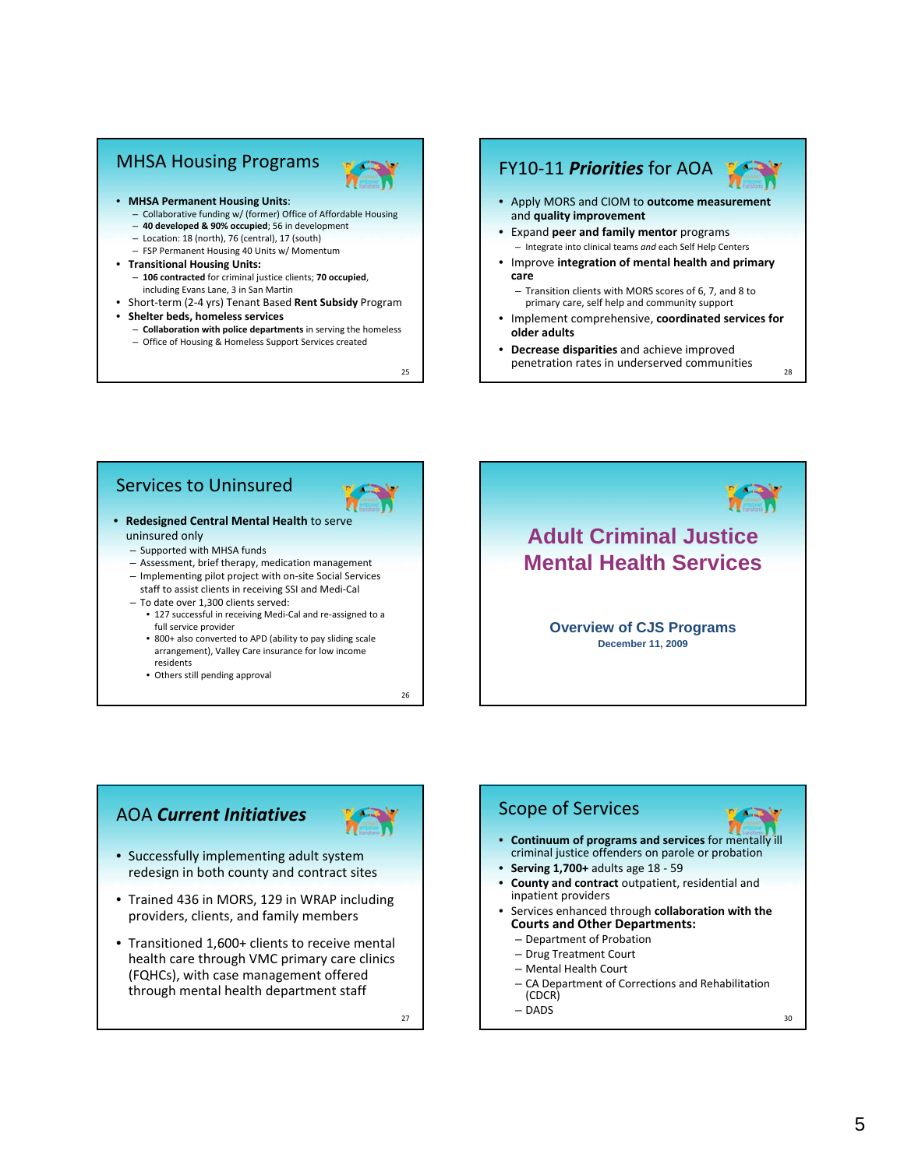# MHSA Housing Programs



- **MHSA Permanent Housing Units**:
	- Collaborative funding w/ (former) Office of Affordable Housing
	- **40 developed & 90% occupied**; 56 in development
	- Location: 18 (north), 76 (central), 17 (south)
	- FSP Permanent Housing 40 Units w/ Momentum
- **Transitional Housing Units:** – **106 contracted** for criminal justice clients; **70 occupied**, including Evans Lane, 3 in San Martin
- Short‐term (2‐4 yrs) Tenant Based **Rent Subsidy** Program
- **Shelter beds, homeless services**
- **Collaboration with police departments** in serving the homeless – Office of Housing & Homeless Support Services created

25

# FY10‐11 *Priorities* for AOA

- Apply MORS and CIOM to **outcome measurement** and **quality improvement**
- Expand **peer and family mentor** programs – Integrate into clinical teams *and* each Self Help Centers
- Improve **integration of mental health and primary care**
	- Transition clients with MORS scores of 6, 7, and 8 to primary care, self help and community support
- Implement comprehensive, **coordinated services for older adults**
- 28 • **Decrease disparities** and achieve improved penetration rates in underserved communities

## Services to Uninsured



- **Redesigned Central Mental Health** to serve uninsured only
	- Supported with MHSA funds
	- Assessment, brief therapy, medication management
	- Implementing pilot project with on‐site Social Services
	- staff to assist clients in receiving SSI and Medi‐Cal – To date over 1,300 clients served:
		- 127 successful in receiving Medi‐Cal and re‐assigned to a full service provider
		- 800+ also converted to APD (ability to pay sliding scale arrangement), Valley Care insurance for low income residents
		- Others still pending approval

26



# AOA *Current Initiatives*



- Successfully implementing adult system redesign in both county and contract sites
- Trained 436 in MORS, 129 in WRAP including providers, clients, and family members
- Transitioned 1,600+ clients to receive mental health care through VMC primary care clinics (FQHCs), with case management offered through mental health department staff

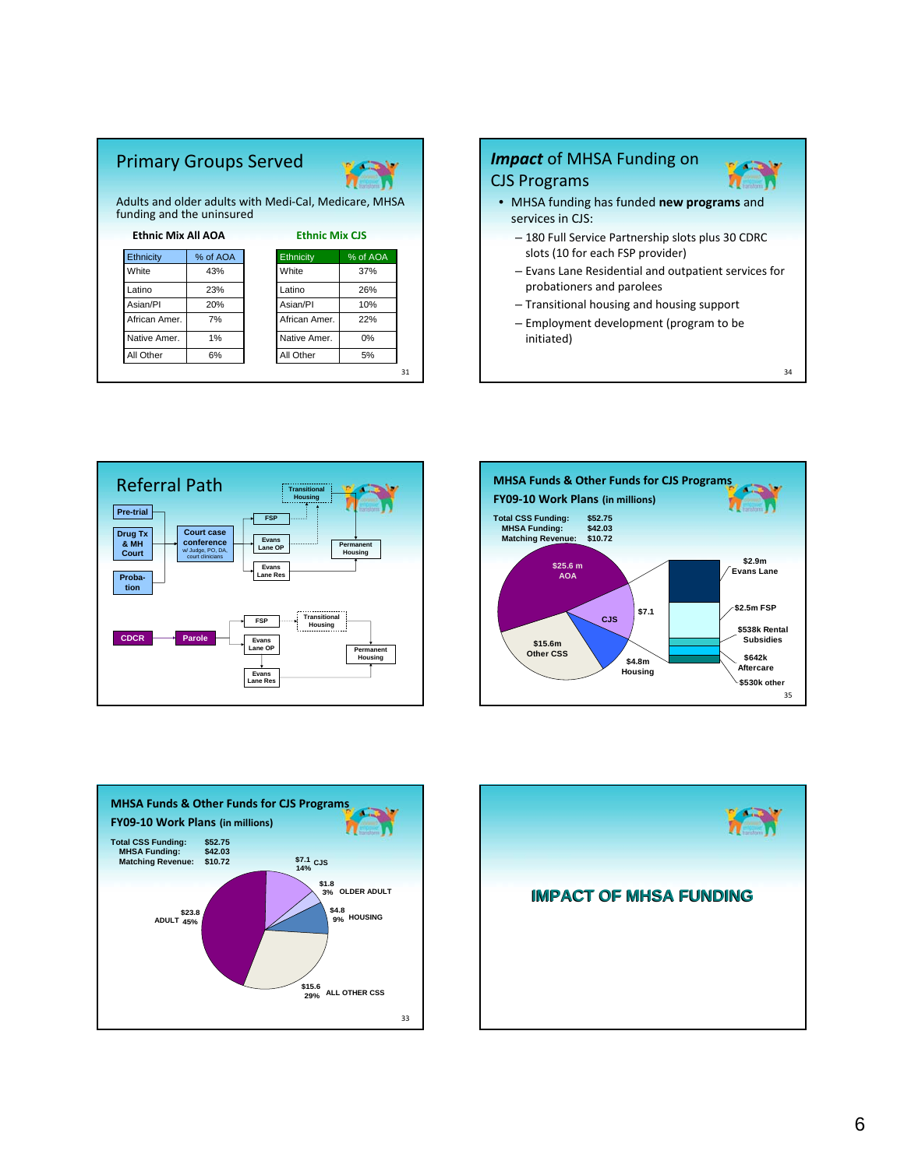# Primary Groups Served



31

Adults and older adults with Medi‐Cal, Medicare, MHSA funding and the uninsured

|                  | <b>Ethnic Mix All AOA</b> |               | <b>Ethnic Mix CJS</b> |  |  |
|------------------|---------------------------|---------------|-----------------------|--|--|
| <b>Ethnicity</b> | % of AOA                  | Ethnicity     | % of AOA              |  |  |
| White            | 43%                       | White         | 37%                   |  |  |
| Latino           | 23%                       | Latino        | 26%                   |  |  |
| Asian/PI         | 20%                       | Asian/PI      | 10%                   |  |  |
| African Amer.    | 7%                        | African Amer. | 22%                   |  |  |
| Native Amer.     | 1%                        | Native Amer.  | 0%                    |  |  |
| All Other        | 6%                        | All Other     | 5%                    |  |  |

# *Impact* of MHSA Funding on CJS Programs

- MHSA funding has funded **new programs** and services in CJS:
	- 180 Full Service Partnership slots plus 30 CDRC slots (10 for each FSP provider)
	- Evans Lane Residential and outpatient services for probationers and parolees

34

жñ

- Transitional housing and housing support
- Employment development (program to be initiated)







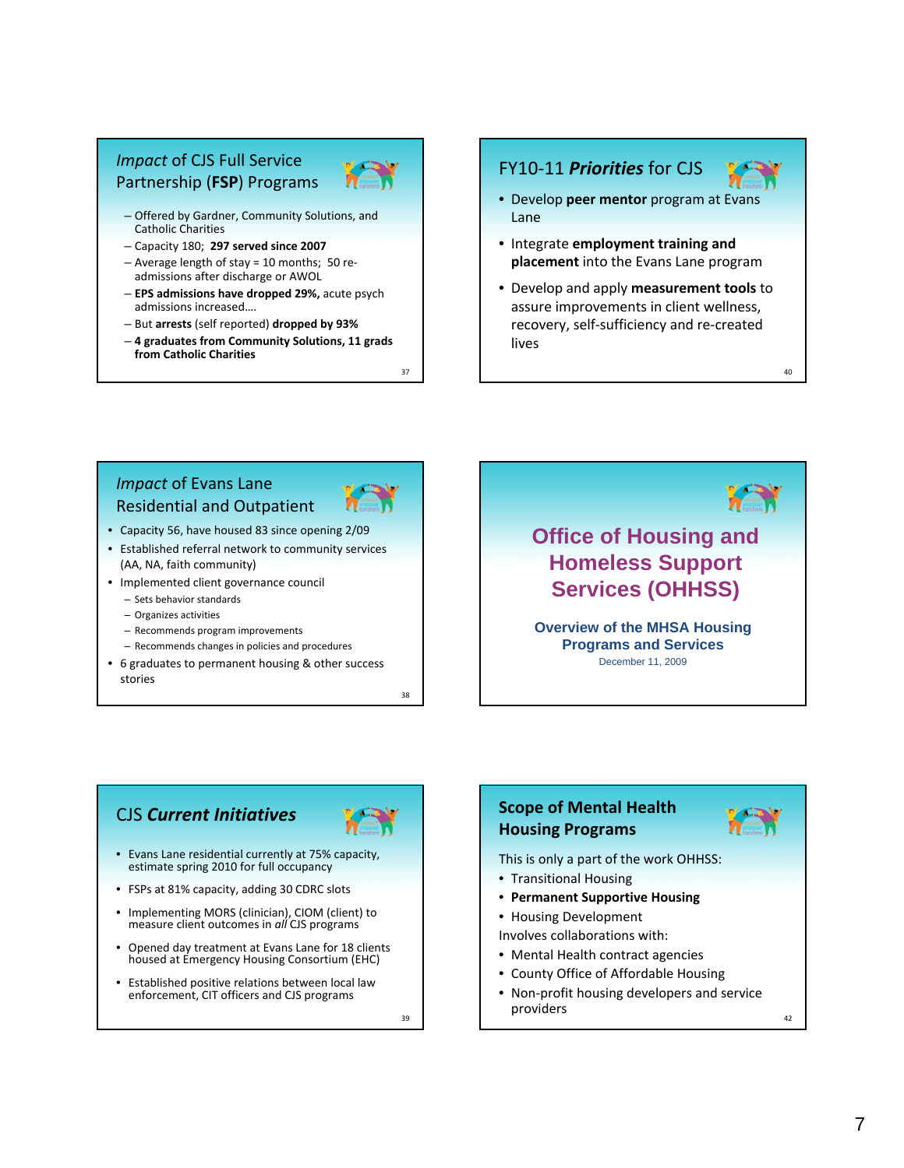# *Impact* of CJS Full Service Partnership (**FSP**) Programs



- Offered by Gardner, Community Solutions, and Catholic Charities
- Capacity 180; **297 served since 2007**
- Average length of stay = 10 months; 50 re‐ admissions after discharge or AWOL
- **EPS admissions have dropped 29%,** acute psych admissions increased….
- But **arrests** (self reported) **dropped by 93%**
- **4 graduates from Community Solutions, 11 grads from Catholic Charities**

## FY10‐11 *Priorities* for CJS



40

- Develop **peer mentor** program at Evans Lane
- Integrate **employment training and placement** into the Evans Lane program
- Develop and apply **measurement tools** to assure improvements in client wellness, recovery, self‐sufficiency and re‐created lives

## *Impact* of Evans Lane Residential and Outpatient



37

- Capacity 56, have housed 83 since opening 2/09
- Established referral network to community services
- (AA, NA, faith community)
- Implemented client governance council
	- Sets behavior standards
	- Organizes activities
	- Recommends program improvements
	- Recommends changes in policies and procedures
- 6 graduates to permanent housing & other success stories

38



**Overview of the MHSA Housing Programs and Services** December 11, 2009

# CJS *Current Initiatives*



- Evans Lane residential currently at 75% capacity, estimate spring 2010 for full occupancy
- FSPs at 81% capacity, adding 30 CDRC slots
- Implementing MORS (clinician), CIOM (client) to measure client outcomes in *all* CJS programs
- Opened day treatment at Evans Lane for 18 clients housed at Emergency Housing Consortium (EHC)
- Established positive relations between local law enforcement, CIT officers and CJS programs

39

# **Scope of Mental Health Housing Programs**



This is only a part of the work OHHSS:

- Transitional Housing
- **Permanent Supportive Housing**
- Housing Development

Involves collaborations with:

- Mental Health contract agencies
- County Office of Affordable Housing
- Non‐profit housing developers and service providers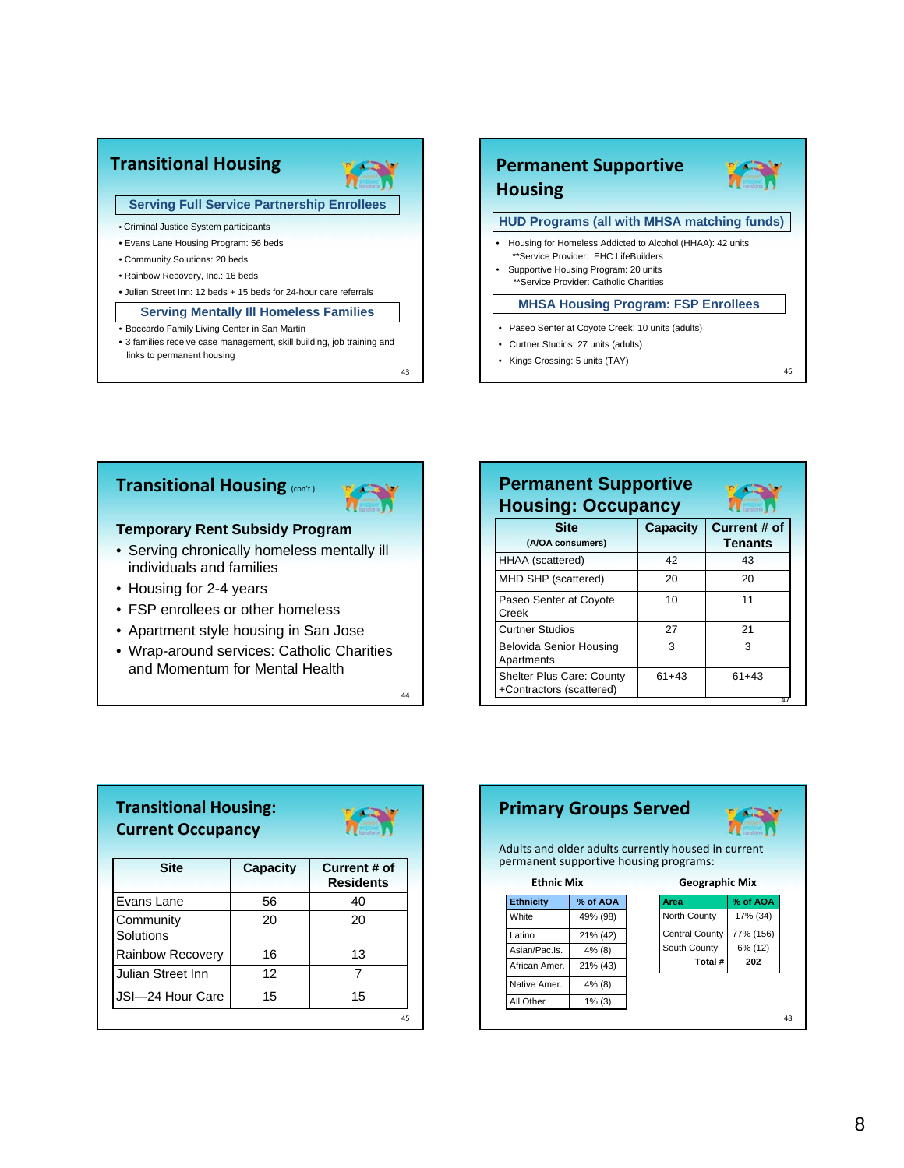

## **Transitional Housing** (con't.)



#### **Temporary Rent Subsidy Program**

- Serving chronically homeless mentally ill individuals and families
- Housing for 2-4 years
- FSP enrollees or other homeless
- Apartment style housing in San Jose
- Wrap-around services: Catholic Charities and Momentum for Mental Health

| <b>Permanent Supportive</b><br><b>Housing: Occupancy</b>     |                 |                                |  |  |
|--------------------------------------------------------------|-----------------|--------------------------------|--|--|
| <b>Site</b><br>(A/OA consumers)                              | <b>Capacity</b> | Current # of<br><b>Tenants</b> |  |  |
| HHAA (scattered)                                             | 42              | 43                             |  |  |
| MHD SHP (scattered)                                          | 20              | 20                             |  |  |
| Paseo Senter at Coyote<br>Creek                              | 10              | 11                             |  |  |
| <b>Curtner Studios</b>                                       | 27              | 21                             |  |  |
| Belovida Senior Housing<br>Apartments                        | 3               | 3                              |  |  |
| <b>Shelter Plus Care: County</b><br>+Contractors (scattered) | $61+43$         | $61+43$                        |  |  |

| <b>Transitional Housing:</b><br><b>Current Occupancy</b> |          |                                  |
|----------------------------------------------------------|----------|----------------------------------|
| <b>Site</b>                                              | Capacity | Current # of<br><b>Residents</b> |
| Evans Lane                                               | 56       | 40                               |
| Community<br>Solutions                                   | 20       | 20                               |
| <b>Rainbow Recovery</b>                                  | 16       | 13                               |
| Julian Street Inn                                        | 12       | 7                                |
| JSI-24 Hour Care                                         | 15       | 15                               |
|                                                          |          | 45                               |

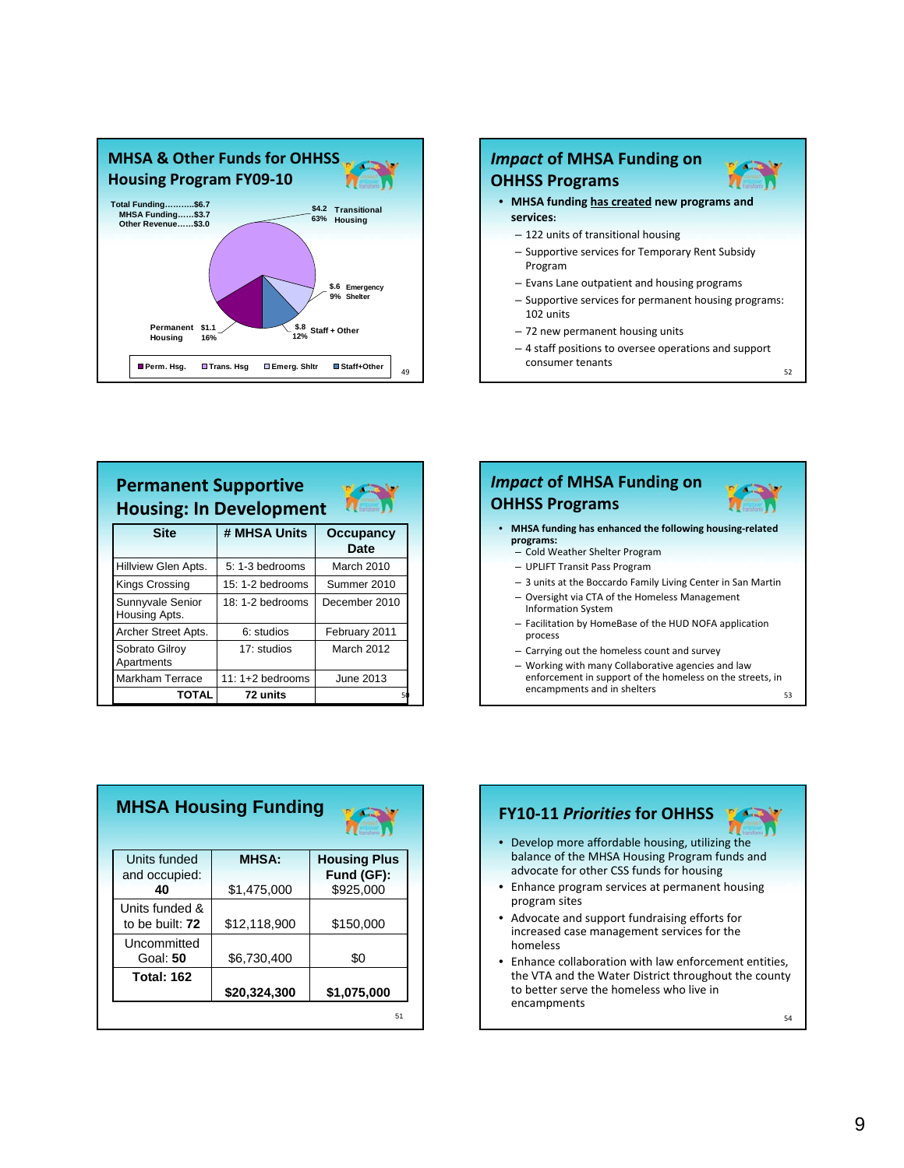



| <b>Permanent Supportive</b><br>a al<br><b>Housing: In Development</b><br><b>Taristonic</b> |                   |                   |  |  |
|--------------------------------------------------------------------------------------------|-------------------|-------------------|--|--|
| <b>Site</b>                                                                                | # MHSA Units      | Occupancy<br>Date |  |  |
| Hillview Glen Apts.                                                                        | $5: 1-3$ bedrooms | March 2010        |  |  |
| Kings Crossing                                                                             | $15:1-2$ bedrooms | Summer 2010       |  |  |
| Sunnyvale Senior<br>Housing Apts.                                                          | $18:1-2$ bedrooms | December 2010     |  |  |
| Archer Street Apts.                                                                        | 6: studios        | February 2011     |  |  |
| Sobrato Gilroy<br>Apartments                                                               | 17: studios       | March 2012        |  |  |
| <b>Markham Terrace</b>                                                                     | 11: 1+2 bedrooms  | June 2013         |  |  |
| TOTAL                                                                                      | 72 units          |                   |  |  |

# *Impact* **of MHSA Funding on OHHSS Programs**

- **MHSA funding has enhanced the following housing‐related programs:**
	- Cold Weather Shelter Program
	- UPLIFT Transit Pass Program
	- 3 units at the Boccardo Family Living Center in San Martin
	- Oversight via CTA of the Homeless Management Information System
	- Facilitation by HomeBase of the HUD NOFA application process
	- Carrying out the homeless count and survey
	- 53 – Working with many Collaborative agencies and law enforcement in support of the homeless on the streets, in encampments and in shelters

| <b>MHSA Housing Funding</b>       |              |                     |  |  |
|-----------------------------------|--------------|---------------------|--|--|
| Units funded                      | <b>MHSA:</b> | <b>Housing Plus</b> |  |  |
| and occupied:                     |              | Fund (GF):          |  |  |
| 40                                | \$1,475,000  | \$925.000           |  |  |
| Units funded &<br>to be built: 72 | \$12,118,900 | \$150,000           |  |  |
| Uncommitted<br>Goal: 50           | \$6,730,400  | \$0                 |  |  |
| <b>Total: 162</b>                 | \$20,324,300 | \$1,075,000         |  |  |
|                                   |              | 51                  |  |  |